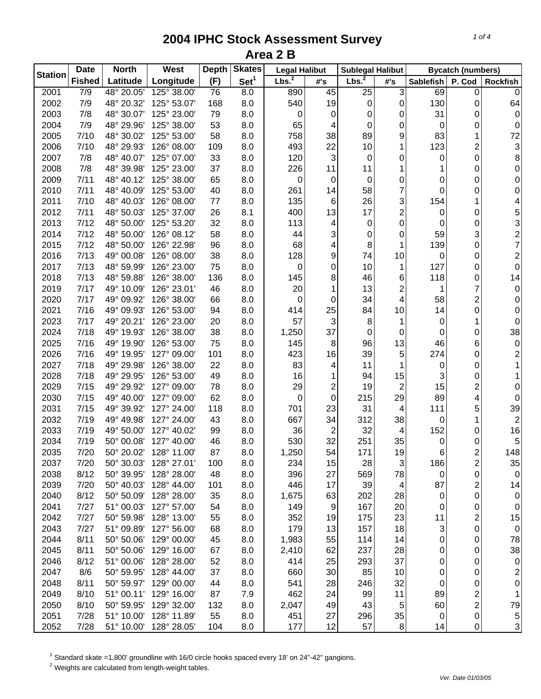| <b>Station</b> | <b>Date</b>   | <b>West</b><br><b>North</b> |             | <b>Skates</b><br><b>Depth</b> |                  | <b>Legal Halibut</b> |                  | <b>Sublegal Halibut</b> |                         | <b>Bycatch (numbers)</b> |                         |                                                 |
|----------------|---------------|-----------------------------|-------------|-------------------------------|------------------|----------------------|------------------|-------------------------|-------------------------|--------------------------|-------------------------|-------------------------------------------------|
|                | <b>Fished</b> | Latitude                    | Longitude   | (F)                           | Set <sup>1</sup> | Lbs. <sup>2</sup>    | #'s              | Lbs. <sup>2</sup>       | #'s                     | <b>Sablefish</b>         | P. Cod                  | Rockfish                                        |
| 2001           | 7/9           | 48° 20.05'                  | 125° 38.00' | 76                            | 8.0              | 890                  | 45               | $\overline{25}$         | 3                       | 69                       | 0                       | $\mathbf 0$                                     |
| 2002           | 7/9           | 48° 20.32'                  | 125° 53.07' | 168                           | 8.0              | 540                  | 19               | 0                       | 0                       | 130                      | 0                       | 64                                              |
| 2003           | 7/8           | 48° 30.07'                  | 125° 23.00' | 79                            | 8.0              | 0                    | 0                | 0                       | 0                       | 31                       | 0                       | $\pmb{0}$                                       |
| 2004           | 7/9           | 48° 29.96'                  | 125° 38.00' | 53                            | 8.0              | 65                   | 4                | 0                       | 0                       | 0                        | 0                       | $\mathbf 0$                                     |
| 2005           | 7/10          | 48° 30.02'                  | 125° 53.00' | 58                            | 8.0              | 758                  | 38               | 89                      | 9                       | 83                       | 1                       | $72\,$                                          |
| 2006           | 7/10          | 48° 29.93'                  | 126° 08.00' | 109                           | 8.0              | 493                  | 22               | 10                      | 1                       | 123                      | $\overline{c}$          | 3                                               |
| 2007           | 7/8           | 48° 40.07'                  | 125° 07.00' | 33                            | 8.0              | 120                  | 3                | $\mathbf 0$             | 0                       | 0                        | 0                       | 8                                               |
| 2008           | 7/8           | 48° 39.98'                  | 125° 23.00' | 37                            | 8.0              | 226                  | 11               | 11                      | 1                       | 1                        | 0                       | $\mathsf{O}\xspace$                             |
| 2009           | 7/11          | 48° 40.12'                  | 125° 38.00' | 65                            | 8.0              | 0                    | 0                | $\mathbf 0$             | 0                       | 0                        | 0                       | 0                                               |
| 2010           | 7/11          | 48° 40.09'                  | 125° 53.00' | 40                            | 8.0              | 261                  | 14               | 58                      | 7                       | 0                        | 0                       | 0                                               |
| 2011           | 7/10          | 48° 40.03'                  | 126° 08.00' | 77                            | 8.0              | 135                  | 6                | 26                      | 3                       | 154                      | 1                       | 4                                               |
| 2012           | 7/11          | 48° 50.03'                  | 125° 37.00' | 26                            | 8.1              | 400                  | 13               | 17                      | $\overline{\mathbf{c}}$ | 0                        | 0                       |                                                 |
| 2013           | 7/12          | 48° 50.00'                  | 125° 53.20' | 32                            | 8.0              | 113                  | 4                | 0                       | 0                       | 0                        | 0                       | $\begin{array}{c} 5 \\ 3 \\ 2 \\ 7 \end{array}$ |
| 2014           | 7/12          | 48° 50.00'                  | 126° 08.12' | 58                            | 8.0              | 44                   | 3                | 0                       | 0                       | 59                       | 3                       |                                                 |
| 2015           | 7/12          | 48° 50.00'                  | 126° 22.98' | 96                            | 8.0              | 68                   | 4                | 8                       | 1                       | 139                      | 0                       |                                                 |
| 2016           | 7/13          | 49° 00.08'                  | 126° 08.00' | 38                            | 8.0              | 128                  | 9                | 74                      | 10                      | 0                        | 0                       | $\overline{\mathbf{c}}$                         |
| 2017           | 7/13          | 48° 59.99'                  | 126° 23.00' | 75                            | 8.0              | 0                    | 0                | 10                      | 1                       | 127                      | 0                       | $\mathsf{O}\xspace$                             |
| 2018           | 7/13          | 48° 59.88'                  | 126° 38.00' | 136                           | 8.0              | 145                  | 8                | 46                      | 6                       | 118                      | 0                       | 14                                              |
| 2019           | 7/17          | 49° 10.09'                  | 126° 23.01' | 46                            | 8.0              | 20                   | 1                | 13                      | 2                       | 1                        | 7                       | $\pmb{0}$                                       |
| 2020           | 7/17          | 49° 09.92'                  | 126° 38.00' | 66                            | 8.0              | 0                    | $\boldsymbol{0}$ | 34                      | 4                       | 58                       | $\overline{\mathbf{c}}$ | $\,0\,$                                         |
| 2021           | 7/16          | 49° 09.93'                  | 126° 53.00' | 94                            | 8.0              | 414                  | 25               | 84                      | 10                      | 14                       | 0                       | $\mathbf 0$                                     |
| 2023           | 7/17          | 49° 20.21'                  | 126° 23.00' | 20                            | 8.0              | 57                   | 3                | 8                       | 1                       | 0                        | 1                       | $\pmb{0}$                                       |
| 2024           | 7/18          | 49° 19.93'                  | 126° 38.00' | 38                            | 8.0              | 1,250                | 37               | $\mathbf 0$             | 0                       | 0                        | 0                       | 38                                              |
| 2025           | 7/16          | 49° 19.90'                  | 126° 53.00' | 75                            | 8.0              | 145                  | 8                | 96                      | 13                      | 46                       | 6                       | $\pmb{0}$                                       |
| 2026           | 7/16          | 49° 19.95'                  | 127° 09.00' | 101                           | 8.0              | 423                  | 16               | 39                      | 5                       | 274                      | 0                       | $\overline{\mathbf{c}}$                         |
| 2027           | 7/18          | 49° 29.98'                  | 126° 38.00' | 22                            | 8.0              | 83                   | 4                | 11                      | 1                       | 0                        | 0                       | $\mathbf{1}$                                    |
| 2028           | 7/18          | 49° 29.95'                  | 126° 53.00' | 49                            | 8.0              | 16                   | 1                | 94                      | 15                      | 3                        | 0                       | 1                                               |
| 2029           | 7/15          | 49° 29.92'                  | 127° 09.00' | 78                            | 8.0              | 29                   | $\overline{c}$   | 19                      | $\overline{c}$          | 15                       | $\overline{c}$          | 0                                               |
| 2030           | 7/15          | 49° 40.00'                  | 127° 09.00' | 62                            | 8.0              | 0                    | 0                | 215                     | 29                      | 89                       | 4                       | 0                                               |
| 2031           | 7/15          | 49° 39.92'                  | 127° 24.00' | 118                           | 8.0              | 701                  | 23               | 31                      | 4                       | 111                      | 5                       | 39                                              |
| 2032           | 7/19          | 49° 49.98'                  | 127° 24.00' | 43                            | 8.0              | 667                  | 34               | 312                     | 38                      | 0                        | 1                       | 2                                               |
| 2033           | 7/19          | 49° 50.00'                  | 127° 40.02' | 99                            | 8.0              | 36                   | $\overline{2}$   | 32                      | 4                       | 152                      | 0                       | 16                                              |
| 2034           | 7/19          | 50° 00.08                   | 127° 40.00' | 46                            | 8.0              | 530                  | 32               | 251                     | 35                      | 0                        | 0                       | 5                                               |
| 2035           | 7/20          | 50° 20.02'                  | 128° 11.00' | 87                            | 8.0              | 1,250                | 54               | 171                     | 19                      | 6                        | $\overline{c}$          | 148                                             |
| 2037           | 7/20          | 50° 30.03'                  | 128° 27.01' | 100                           | 8.0              | 234                  | 15               | 28                      | 3                       | 186                      | $\overline{\mathbf{c}}$ | 35                                              |
| 2038           | 8/12          | 50° 39.95'                  | 128° 28.00' | 48                            | 8.0              | 396                  | 27               | 569                     | 78                      | 0                        | 0                       | $\pmb{0}$                                       |
| 2039           | 7/20          | 50° 40.03'                  | 128° 44.00' | 101                           | 8.0              | 446                  | 17               | 39                      | 4                       | 87                       | $\overline{\mathbf{c}}$ | 14                                              |
| 2040           | 8/12          | 50° 50.09'                  | 128° 28.00' | 35                            | 8.0              | 1,675                | 63               | 202                     | 28                      | 0                        | 0                       | $\pmb{0}$                                       |
| 2041           | 7/27          | 51° 00.03'                  | 127° 57.00' | 54                            | 8.0              | 149                  | $\boldsymbol{9}$ | 167                     | 20                      |                          | 0                       | $\mathbf 0$                                     |
| 2042           | 7/27          | 50° 59.98'                  | 128° 13.00' | 55                            | 8.0              | 352                  | 19               | 175                     | 23                      | 0<br>11                  | $\overline{\mathbf{c}}$ | 15                                              |
| 2043           | 7/27          | 51° 09.89'                  | 127° 56.00' | 68                            | 8.0              | 179                  | 13               | 157                     | 18                      |                          | 0                       | $\mathbf 0$                                     |
| 2044           | 8/11          | 50° 50.06'                  | 129° 00.00' | 45                            | 8.0              |                      | 55               | 114                     | 14                      | 3<br>0                   |                         | 78                                              |
| 2045           | 8/11          | 50° 50.06'                  |             |                               |                  | 1,983                |                  |                         |                         |                          | 0                       |                                                 |
|                |               |                             | 129° 16.00' | 67                            | 8.0              | 2,410                | 62               | 237                     | 28                      | 0                        | 0                       | 38                                              |
| 2046           | 8/12          | 51° 00.06'                  | 128° 28.00' | 52                            | 8.0              | 414                  | 25               | 293                     | 37                      | 0                        | 0                       | $\mathbf 0$                                     |
| 2047           | 8/6           | 50° 59.95'                  | 128° 44.00' | 37                            | 8.0              | 660                  | 30               | 85                      | 10                      | 0                        | 0                       | $\overline{c}$                                  |
| 2048           | 8/11          | 50° 59.97'                  | 129° 00.00' | 44                            | 8.0              | 541                  | 28               | 246                     | 32                      | 0                        | 0                       | 0                                               |
| 2049           | 8/10          | 51° 00.11'                  | 129° 16.00' | 87                            | 7.9              | 462                  | 24               | 99                      | 11                      | 89                       | $\overline{c}$          | $\mathbf 1$                                     |
| 2050           | 8/10          | 50° 59.95'                  | 129° 32.00' | 132                           | 8.0              | 2,047                | 49               | 43                      | 5                       | 60                       | $\overline{c}$          | 79                                              |
| 2051           | 7/28          | 51° 10.00'                  | 128° 11.89' | 55                            | 8.0              | 451                  | 27               | 296                     | 35                      | 0                        | 0                       | 5                                               |
| 2052           | 7/28          | 51° 10.00'                  | 128° 28.05' | 104                           | 8.0              | 177                  | 12               | 57                      | 8                       | 14                       | 0                       | $\overline{3}$                                  |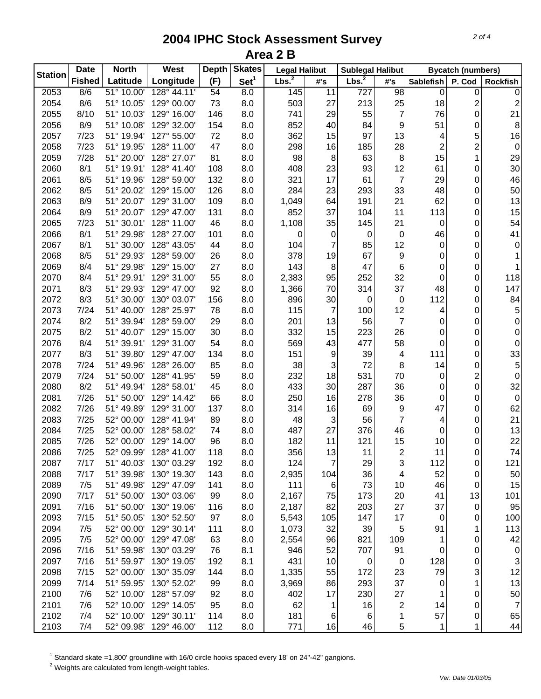| <b>Station</b> | <b>Date</b>   | <b>North</b> | West        | <b>Skates</b><br><b>Depth</b> |                  | <b>Legal Halibut</b> |                     | <b>Sublegal Halibut</b> |                         | <b>Bycatch (numbers)</b> |                  |                         |
|----------------|---------------|--------------|-------------|-------------------------------|------------------|----------------------|---------------------|-------------------------|-------------------------|--------------------------|------------------|-------------------------|
|                | <b>Fished</b> | Latitude     | Longitude   | (F)                           | Set <sup>1</sup> | Lbs. <sup>2</sup>    | $\#^{\centerdot}$ s | Lbs. <sup>2</sup>       | #'s                     | <b>Sablefish</b>         | P. Cod           | <b>Rockfish</b>         |
| 2053           | 8/6           | 51° 10.00'   | 128° 44.11' | 54                            | $\overline{8.0}$ | 145                  | 11                  | 727                     | 98                      | 0                        | 0                | $\pmb{0}$               |
| 2054           | 8/6           | 51° 10.05'   | 129° 00.00' | 73                            | 8.0              | 503                  | 27                  | 213                     | 25                      | 18                       | 2                | $\overline{\mathbf{c}}$ |
| 2055           | 8/10          | 51° 10.03'   | 129° 16.00' | 146                           | 8.0              | 741                  | 29                  | 55                      | 7                       | 76                       | 0                | 21                      |
| 2056           | 8/9           | 51° 10.08'   | 129° 32.00' | 154                           | 8.0              | 852                  | 40                  | 84                      | 9                       | 51                       | 0                | $\, 8$                  |
| 2057           | 7/23          | 51° 19.94'   | 127° 55.00' | 72                            | 8.0              | 362                  | 15                  | 97                      | 13                      | 4                        | 5                | 16                      |
| 2058           | 7/23          | 51° 19.95'   | 128° 11.00' | 47                            | 8.0              | 298                  | 16                  | 185                     | 28                      | $\overline{\mathbf{c}}$  | 2                | $\pmb{0}$               |
| 2059           | 7/28          | 51° 20.00'   | 128° 27.07' | 81                            | 8.0              | 98                   | 8                   | 63                      | 8                       | 15                       | 1                | 29                      |
| 2060           | 8/1           | 51° 19.91'   | 128° 41.40' | 108                           | 8.0              | 408                  | 23                  | 93                      | 12                      | 61                       | 0                | 30                      |
| 2061           | 8/5           | 51° 19.96'   | 128° 59.00' | 132                           | 8.0              | 321                  | 17                  | 61                      | $\overline{7}$          | 29                       | 0                | 46                      |
| 2062           | 8/5           | 51° 20.02'   | 129° 15.00' | 126                           | 8.0              | 284                  | 23                  | 293                     | 33                      | 48                       | 0                | 50                      |
| 2063           | 8/9           | 51° 20.07'   | 129° 31.00' | 109                           | 8.0              | 1,049                | 64                  | 191                     | 21                      | 62                       | 0                | 13                      |
| 2064           | 8/9           | 51° 20.07'   | 129° 47.00' | 131                           | 8.0              | 852                  | 37                  | 104                     | 11                      | 113                      | 0                | 15                      |
| 2065           | 7/23          | 51° 30.01'   | 128° 11.00' | 46                            | 8.0              | 1,108                | 35                  | 145                     | 21                      | 0                        | 0                | 54                      |
| 2066           | 8/1           | 51° 29.98'   | 128° 27.00' | 101                           | 8.0              | 0                    | 0                   | 0                       | 0                       | 46                       | 0                | 41                      |
| 2067           | 8/1           | 51° 30.00'   | 128° 43.05' | 44                            | 8.0              | 104                  | 7                   | 85                      | 12                      | 0                        | 0                | 0                       |
| 2068           | 8/5           | 51° 29.93'   | 128° 59.00' | 26                            | 8.0              | 378                  | 19                  | 67                      | 9                       | 0                        | 0                | 1                       |
| 2069           | 8/4           | 51° 29.98'   | 129° 15.00' | 27                            | 8.0              | 143                  | 8                   | 47                      | 6                       | 0                        | 0                | 1                       |
| 2070           | 8/4           | 51° 29.91'   | 129° 31.00' | 55                            | 8.0              | 2,383                | 95                  | 252                     | 32                      | 0                        | 0                | 118                     |
| 2071           | 8/3           | 51° 29.93'   | 129° 47.00' | 92                            | 8.0              | 1,366                | 70                  | 314                     | 37                      | 48                       | 0                | 147                     |
| 2072           | 8/3           | 51° 30.00'   | 130° 03.07' | 156                           | 8.0              | 896                  | 30                  | $\mathbf 0$             | 0                       | 112                      | 0                | 84                      |
| 2073           | 7/24          | 51° 40.00'   | 128° 25.97' | 78                            | 8.0              | 115                  | $\overline{7}$      | 100                     | 12                      | 4                        | 0                | 5                       |
| 2074           | 8/2           | 51° 39.94'   | 128° 59.00' | 29                            | 8.0              | 201                  | 13                  | 56                      | $\overline{7}$          | 0                        | 0                | $\pmb{0}$               |
| 2075           | 8/2           | 51° 40.07'   | 129° 15.00' | 30                            | 8.0              | 332                  | 15                  | 223                     | 26                      | 0                        | 0                | $\pmb{0}$               |
| 2076           | 8/4           | 51° 39.91'   | 129° 31.00' | 54                            | 8.0              | 569                  | 43                  | 477                     | 58                      | $\mathbf 0$              | 0                | $\pmb{0}$               |
| 2077           | 8/3           | 51° 39.80'   | 129° 47.00' | 134                           | 8.0              | 151                  | 9                   | 39                      | 4                       | 111                      | $\boldsymbol{0}$ | 33                      |
| 2078           | 7/24          | 51° 49.96'   | 128° 26.00' | 85                            | 8.0              | 38                   | 3                   | 72                      | 8                       | 14                       | 0                | 5                       |
| 2079           | 7/24          | 51° 50.00'   | 128° 41.95' | 59                            | 8.0              | 232                  | 18                  | 531                     | 70                      | 0                        | $\overline{c}$   | 0                       |
| 2080           | 8/2           | 51° 49.94'   | 128° 58.01' | 45                            | 8.0              | 433                  | 30                  | 287                     | 36                      | 0                        | $\mathbf 0$      | 32                      |
| 2081           | 7/26          | 51° 50.00'   | 129° 14.42' | 66                            | 8.0              | 250                  | 16                  | 278                     | 36                      | 0                        | 0                | $\boldsymbol{0}$        |
| 2082           | 7/26          | 51° 49.89'   | 129° 31.00' | 137                           | 8.0              | 314                  | 16                  | 69                      | 9                       | 47                       | 0                | 62                      |
| 2083           | 7/25          | 52° 00.00'   | 128° 41.94' | 89                            | 8.0              | 48                   | 3                   | 56                      | 7                       | 4                        | 0                | 21                      |
| 2084           | 7/25          | 52° 00.00'   | 128° 58.02' | 74                            | 8.0              | 487                  | 27                  | 376                     | 46                      | 0                        | 0                | 13                      |
| 2085           | 7/26          | 52° 00.00'   | 129° 14.00' | 96                            | 8.0              | 182                  | 11                  | 121                     | 15                      | 10                       | 0                | 22                      |
| 2086           | 7/25          | 52° 09.99'   | 128° 41.00' | 118                           | 8.0              | 356                  | 13                  | 11                      | $\overline{\mathbf{c}}$ | 11                       | 0                | 74                      |
| 2087           | 7/17          | 51° 40.03'   | 130° 03.29' | 192                           | 8.0              | 124                  | $\overline{7}$      | 29                      | 3                       | 112                      | 0                | 121                     |
| 2088           | 7/17          | 51° 39.98'   | 130° 19.30' | 143                           | 8.0              | 2,935                | 104                 | 36                      | 4                       | 52                       | 0                | 50                      |
| 2089           | 7/5           | 51° 49.98'   | 129° 47.09' | 141                           | 8.0              | 111                  | 6                   | 73                      | 10                      | 46                       | 0                | 15                      |
| 2090           | 7/17          | 51° 50.00'   | 130° 03.06' | 99                            | 8.0              | 2,167                | 75                  | 173                     | 20                      | 41                       | 13               | 101                     |
| 2091           | 7/16          | 51° 50.00'   | 130° 19.06' | 116                           | 8.0              | 2,187                | 82                  | 203                     | 27                      | 37                       | 0                | 95                      |
| 2093           | 7/15          | 51° 50.05'   | 130° 52.50' | 97                            | 8.0              | 5,543                | 105                 | 147                     | 17                      | 0                        | 0                | 100                     |
| 2094           | 7/5           | 52° 00.00'   | 129° 30.14' | 111                           | 8.0              | 1,073                | 32                  | 39                      | 5                       | 91                       | 1                | 113                     |
| 2095           | 7/5           | 52° 00.00'   | 129° 47.08' | 63                            | 8.0              | 2,554                | 96                  | 821                     | 109                     | 1                        | 0                | 42                      |
| 2096           | 7/16          | 51° 59.98'   | 130° 03.29' | 76                            | 8.1              | 946                  | 52                  | 707                     | 91                      | 0                        | 0                | $\pmb{0}$               |
| 2097           | 7/16          | 51° 59.97'   | 130° 19.05' | 192                           | 8.1              | 431                  | 10                  | 0                       | 0                       | 128                      | 0                | 3                       |
| 2098           | 7/15          | 52° 00.00'   | 130° 35.09' | 144                           | 8.0              | 1,335                | 55                  | 172                     | 23                      | 79                       | 3                | 12                      |
| 2099           | 7/14          | 51° 59.95'   | 130° 52.02' | 99                            | 8.0              | 3,969                | 86                  | 293                     | 37                      | 0                        | 1                | 13                      |
| 2100           | 7/6           | 52° 10.00'   | 128° 57.09' | 92                            | 8.0              | 402                  | 17                  | 230                     | 27                      | 1                        | 0                | 50                      |
| 2101           | 7/6           | 52° 10.00'   | 129° 14.05' | 95                            | 8.0              | 62                   | 1                   | 16                      | $\overline{c}$          | 14                       | 0                | $\overline{7}$          |
| 2102           | 7/4           | 52° 10.00'   | 129° 30.11' | 114                           | 8.0              | 181                  | $\,6$               | 6                       | 1                       | 57                       | 0                | 65                      |
| 2103           | 7/4           | 52° 09.98'   | 129° 46.00' | 112                           | 8.0              | 771                  | 16                  | 46                      | 5                       | $\mathbf 1$              | 1                | 44                      |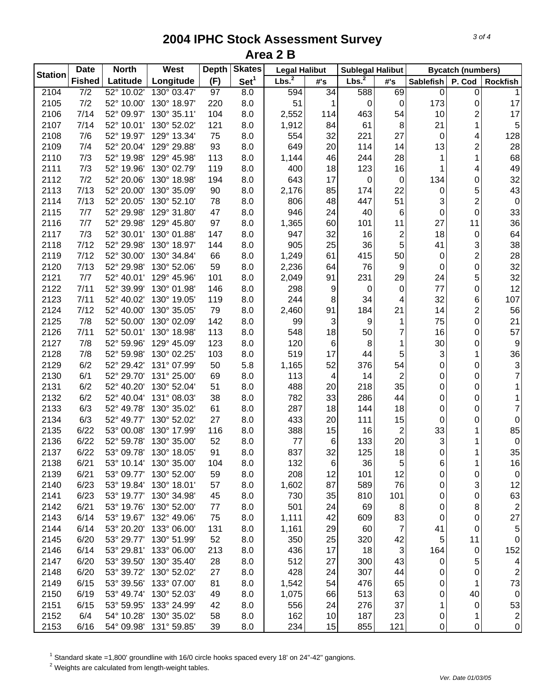| <b>Station</b> | <b>Date</b><br><b>North</b> |            | <b>West</b> | <b>Skates</b><br><b>Depth</b> |                  | <b>Legal Halibut</b> |                 | <b>Sublegal Halibut</b> |                         | <b>Bycatch (numbers)</b> |                         |                         |
|----------------|-----------------------------|------------|-------------|-------------------------------|------------------|----------------------|-----------------|-------------------------|-------------------------|--------------------------|-------------------------|-------------------------|
|                | <b>Fished</b>               | Latitude   | Longitude   | (F)                           | Set <sup>1</sup> | Lbs. <sup>2</sup>    | #'s             | Lbs. <sup>2</sup>       | #'s                     | <b>Sablefish</b>         | P. Cod                  | Rockfish                |
| 2104           | $\overline{7/2}$            | 52° 10.02' | 130° 03.47' | 97                            | 8.0              | 594                  | $\overline{34}$ | 588                     | 69                      | $\boldsymbol{0}$         | 0                       | $\mathbf{1}$            |
| 2105           | 7/2                         | 52° 10.00' | 130° 18.97' | 220                           | 8.0              | 51                   | 1               | $\mathbf 0$             | $\mathbf 0$             | 173                      | 0                       | 17                      |
| 2106           | 7/14                        | 52° 09.97' | 130° 35.11' | 104                           | 8.0              | 2,552                | 114             | 463                     | 54                      | 10                       | $\overline{c}$          | 17                      |
| 2107           | 7/14                        | 52° 10.01' | 130° 52.02' | 121                           | 8.0              | 1,912                | 84              | 61                      | 8                       | 21                       | 1                       | 5                       |
| 2108           | 7/6                         | 52° 19.97' | 129° 13.34' | 75                            | 8.0              | 554                  | 32              | 221                     | 27                      | 0                        | 4                       | 128                     |
| 2109           | 7/4                         | 52° 20.04' | 129° 29.88' | 93                            | 8.0              | 649                  | 20              | 114                     | 14                      | 13                       | $\overline{c}$          | 28                      |
| 2110           | 7/3                         | 52° 19.98' | 129° 45.98' | 113                           | 8.0              | 1,144                | 46              | 244                     | 28                      | 1                        | 1                       | 68                      |
| 2111           | 7/3                         | 52° 19.96' | 130° 02.79' | 119                           | 8.0              | 400                  | 18              | 123                     | 16                      | 1                        | 4                       | 49                      |
| 2112           | 7/2                         | 52° 20.06' | 130° 18.98' | 194                           | 8.0              | 643                  | 17              | 0                       | 0                       | 134                      | 0                       | 32                      |
| 2113           | 7/13                        | 52° 20.00' | 130° 35.09' | 90                            | 8.0              | 2,176                | 85              | 174                     | 22                      | 0                        | 5                       | 43                      |
| 2114           | 7/13                        | 52° 20.05' | 130° 52.10' | 78                            | 8.0              | 806                  | 48              | 447                     | 51                      | 3                        | $\overline{\mathbf{c}}$ | $\mathbf 0$             |
| 2115           | 7/7                         | 52° 29.98' | 129° 31.80' | 47                            | 8.0              | 946                  | 24              | 40                      | 6                       | 0                        | $\mathbf 0$             | 33                      |
| 2116           | 7/7                         | 52° 29.98' | 129° 45.80' | 97                            | 8.0              | 1,365                | 60              | 101                     | 11                      | 27                       | 11                      | 36                      |
| 2117           | 7/3                         | 52° 30.01' | 130° 01.88' | 147                           | 8.0              | 947                  | 32              | 16                      | $\overline{\mathbf{c}}$ | 18                       | $\mathbf 0$             | 64                      |
| 2118           | 7/12                        | 52° 29.98' | 130° 18.97' | 144                           | 8.0              | 905                  | 25              | 36                      | 5                       | 41                       | 3                       | 38                      |
| 2119           | 7/12                        | 52° 30.00' | 130° 34.84' | 66                            | 8.0              | 1,249                | 61              | 415                     | 50                      | 0                        | $\overline{\mathbf{c}}$ | 28                      |
| 2120           | 7/13                        | 52° 29.98' | 130° 52.06' | 59                            | 8.0              | 2,236                | 64              | 76                      | 9                       | 0                        | 0                       | 32                      |
| 2121           | 7/7                         | 52° 40.01' | 129° 45.96' | 101                           | 8.0              | 2,049                | 91              | 231                     | 29                      | 24                       | 5                       | 32                      |
| 2122           | 7/11                        | 52° 39.99' | 130° 01.98' | 146                           | 8.0              | 298                  | 9               | 0                       | 0                       | 77                       | 0                       | 12                      |
| 2123           | 7/11                        | 52° 40.02' | 130° 19.05' | 119                           | 8.0              | 244                  | 8               | 34                      | 4                       | 32                       | 6                       | 107                     |
| 2124           | 7/12                        | 52° 40.00' | 130° 35.05' | 79                            | 8.0              | 2,460                | 91              | 184                     | 21                      | 14                       | $\overline{\mathbf{c}}$ | 56                      |
| 2125           | 7/8                         | 52° 50.00' | 130° 02.09' | 142                           | 8.0              | 99                   | 3               | 9                       | 1                       | 75                       | 0                       | 21                      |
| 2126           | 7/11                        | 52° 50.01' | 130° 18.98' | 113                           | 8.0              | 548                  | 18              | 50                      | 7                       | 16                       | 0                       | 57                      |
| 2127           | 7/8                         | 52° 59.96' | 129° 45.09' | 123                           | 8.0              | 120                  | $\,6$           | 8                       | 1                       | 30                       | 0                       | $\boldsymbol{9}$        |
| 2128           | 7/8                         | 52° 59.98' | 130° 02.25' | 103                           | 8.0              | 519                  | 17              | 44                      | 5                       | 3                        | 1                       | 36                      |
| 2129           | 6/2                         | 52° 29.42' | 131° 07.99' | 50                            | 5.8              | 1,165                | 52              | 376                     | 54                      | 0                        | 0                       | 3                       |
| 2130           | 6/1                         | 52° 29.70' | 131° 25.00' | 69                            | 8.0              | 113                  | 4               | 14                      | 2                       | 0                        | 0                       | $\overline{7}$          |
| 2131           | 6/2                         | 52° 40.20' | 130° 52.04' | 51                            | 8.0              | 488                  | 20              | 218                     | 35                      |                          | 0                       | 1                       |
| 2132           | 6/2                         | 52° 40.04' | 131° 08.03' | 38                            | 8.0              | 782                  | 33              | 286                     | 44                      | 0                        | 0                       | 1                       |
| 2133           | 6/3                         | 52° 49.78' | 130° 35.02' | 61                            |                  | 287                  | 18              | 144                     | 18                      | 0<br>0                   | 0                       | $\overline{7}$          |
| 2134           | 6/3                         | 52° 49.77' | 130° 52.02' | 27                            | 8.0              | 433                  | 20              | 111                     | 15                      | 0                        | 0                       | $\mathsf{O}\xspace$     |
|                | 6/22                        | 53° 00.08' | 130° 17.99' |                               | 8.0              |                      |                 |                         |                         |                          |                         |                         |
| 2135           |                             |            |             | 116                           | 8.0              | 388                  | 15              | 16                      | $\overline{\mathbf{c}}$ | 33                       | 1                       | 85                      |
| 2136           | 6/22                        | 52° 59.78' | 130° 35.00' | 52                            | 8.0              | 77                   | 6               | 133                     | 20                      | 3                        | 1                       | $\pmb{0}$               |
| 2137           | 6/22                        | 53° 09.78' | 130° 18.05' | 91                            | 8.0              | 837                  | 32              | 125                     | 18                      | 0                        | 1                       | 35                      |
| 2138           | 6/21                        | 53° 10.14' | 130° 35.00' | 104                           | 8.0              | 132                  | 6               | 36                      | 5                       | 6                        | 1                       | 16                      |
| 2139           | 6/21                        | 53° 09.77' | 130° 52.00' | 59                            | 8.0              | 208                  | 12              | 101                     | 12                      | 0                        | 0                       | $\pmb{0}$               |
| 2140           | 6/23                        | 53° 19.84' | 130° 18.01' | 57                            | 8.0              | 1,602                | 87              | 589                     | 76                      | 0                        | 3                       | 12                      |
| 2141           | 6/23                        | 53° 19.77' | 130° 34.98' | 45                            | 8.0              | 730                  | 35              | 810                     | 101                     | 0                        | 0                       | 63                      |
| 2142           | 6/21                        | 53° 19.76' | 130° 52.00' | 77                            | 8.0              | 501                  | 24              | 69                      | 8                       | 0                        | 8                       | $\overline{c}$          |
| 2143           | 6/14                        | 53° 19.67' | 132° 49.06' | 75                            | 8.0              | 1,111                | 42              | 609                     | 83                      | 0                        | 0                       | 27                      |
| 2144           | 6/14                        | 53° 20.20' | 133° 06.00' | 131                           | 8.0              | 1,161                | 29              | 60                      | $\overline{7}$          | 41                       | 0                       | 5                       |
| 2145           | 6/20                        | 53° 29.77' | 130° 51.99' | 52                            | 8.0              | 350                  | 25              | 320                     | 42                      | 5                        | 11                      | $\mathbf 0$             |
| 2146           | 6/14                        | 53° 29.81' | 133° 06.00' | 213                           | 8.0              | 436                  | 17              | 18                      | 3                       | 164                      | 0                       | 152                     |
| 2147           | 6/20                        | 53° 39.50' | 130° 35.40' | 28                            | 8.0              | 512                  | 27              | 300                     | 43                      | 0                        | 5                       | 4                       |
| 2148           | 6/20                        | 53° 39.72' | 130° 52.02' | 27                            | 8.0              | 428                  | 24              | 307                     | 44                      | 0                        | 0                       | $\overline{\mathbf{c}}$ |
| 2149           | 6/15                        | 53° 39.56' | 133° 07.00' | 81                            | 8.0              | 1,542                | 54              | 476                     | 65                      | 0                        | 1                       | 73                      |
| 2150           | 6/19                        | 53° 49.74' | 130° 52.03' | 49                            | 8.0              | 1,075                | 66              | 513                     | 63                      | 0                        | 40                      | $\pmb{0}$               |
| 2151           | 6/15                        | 53° 59.95' | 133° 24.99' | 42                            | 8.0              | 556                  | 24              | 276                     | 37                      | 1                        | 0                       | 53                      |
| 2152           | 6/4                         | 54° 10.28' | 130° 35.02' | 58                            | 8.0              | 162                  | 10              | 187                     | 23                      | 0                        | 1                       | $\sqrt{2}$              |
| 2153           | 6/16                        | 54° 09.98' | 131° 59.85' | 39                            | 8.0              | 234                  | 15              | 855                     | 121                     | 0                        | 0                       | $\mathsf{O}\xspace$     |